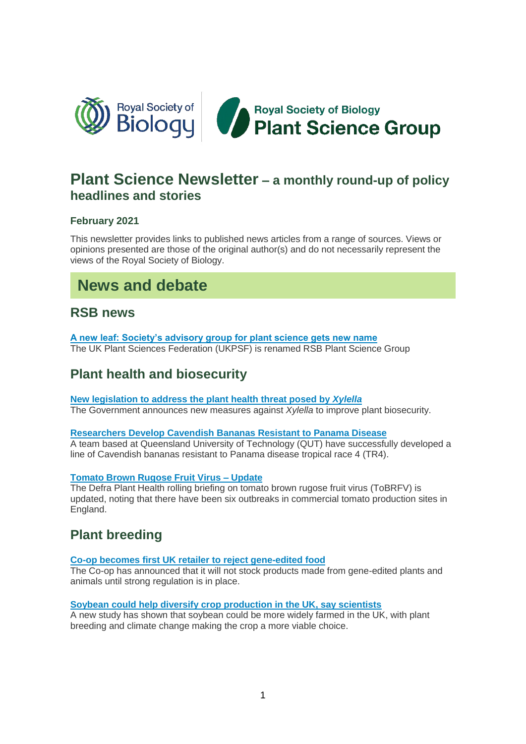

# **Plant Science Newsletter – a monthly round-up of policy headlines and stories**

## **February 2021**

This newsletter provides links to published news articles from a range of sources. Views or opinions presented are those of the original author(s) and do not necessarily represent the views of the Royal Society of Biology.

# **News and debate**

## **RSB news**

**[A new leaf: Society's advisory group for plant science gets new name](https://www.rsb.org.uk/news/a-new-leaf-society-s-advisory-group-for-plant-science-gets-new-name)** The UK Plant Sciences Federation (UKPSF) is renamed RSB Plant Science Group

## **Plant health and biosecurity**

**[New legislation to address the plant health threat posed by](https://www.gov.uk/government/news/new-legislation-to-address-the-plant-health-threat-posed-by-xylella)** *Xylella* The Government announces new measures against *Xylella* to improve plant biosecurity.

## **[Researchers Develop Cavendish Bananas Resistant to Panama Disease](https://www.isaaa.org/kc/cropbiotechupdate/article/default.asp?ID=18606#.YDYWZUityZk.twitter)**

A team based at Queensland University of Technology (QUT) have successfully developed a line of Cavendish bananas resistant to Panama disease tropical race 4 (TR4).

## **[Tomato Brown Rugose Fruit Virus –](https://planthealthportal.defra.gov.uk/latest-news/tomato-brown-rugose-fruit-virus-update-3/) Update**

The Defra Plant Health rolling briefing on tomato brown rugose fruit virus (ToBRFV) is updated, noting that there have been six outbreaks in commercial tomato production sites in England.

## **Plant breeding**

## **[Co-op becomes first UK retailer to reject gene-edited food](https://www.farminguk.com/news/co-op-becomes-first-uk-retailer-to-reject-gene-edited-food_57627.html)**

The Co-op has announced that it will not stock products made from gene-edited plants and animals until strong regulation is in place.

## **[Soybean could help diversify crop production in the UK, say scientists](https://www.rothamsted.ac.uk/news/soybean-could-help-diversify-crop-production-uk-say-scientists)**

A new study has shown that soybean could be more widely farmed in the UK, with plant breeding and climate change making the crop a more viable choice.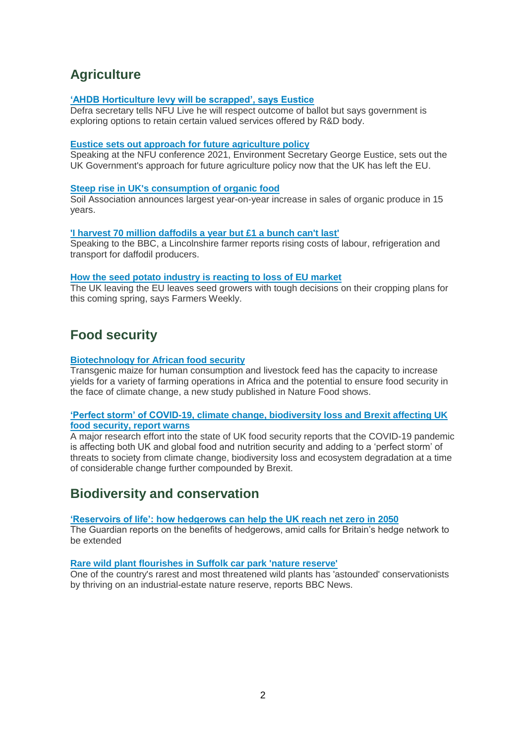# **Agriculture**

#### **['AHDB Horticulture levy will be scrapped', says Eustice](http://www.fruitnet.com/fpj/article/184428/ahdb-horticulture-levy-will-be-scrapped-says-eustice)**

Defra secretary tells NFU Live he will respect outcome of ballot but says government is exploring options to retain certain valued services offered by R&D body.

#### **[Eustice sets out approach for future agriculture policy](https://www.gov.uk/government/news/eustice-sets-out-approach-for-future-agriculture-policy)**

Speaking at the NFU conference 2021, Environment Secretary George Eustice, sets out the UK Government's approach for future agriculture policy now that the UK has left the EU.

#### **[Steep rise in UK's consumption of organic food](https://www.theguardian.com/environment/2021/feb/10/steep-rise-in-uks-consumption-of-organic-food)**

Soil Association announces largest year-on-year increase in sales of organic produce in 15 years.

#### **['I harvest 70 million daffodils a year but £1 a bunch can't last'](https://www.bbc.co.uk/news/business-55948431)**

Speaking to the BBC, a Lincolnshire farmer reports rising costs of labour, refrigeration and transport for daffodil producers.

#### **[How the seed potato industry is reacting to loss of EU market](https://www.fwi.co.uk/arable/potatoes/how-the-seed-potato-industry-is-reacting-to-loss-of-eu-market)**

The UK leaving the EU leaves seed growers with tough decisions on their cropping plans for this coming spring, says Farmers Weekly.

## **Food security**

#### **[Biotechnology for African food security](https://www.nature.com/articles/s43016-021-00234-8)**

Transgenic maize for human consumption and livestock feed has the capacity to increase yields for a variety of farming operations in Africa and the potential to ensure food security in the face of climate change, a new study published in Nature Food shows.

#### **['Perfect storm' of COVID-19, climate change, biodiversity loss and Brexit affecting UK](https://www.hutton.ac.uk/news/%E2%80%98perfect-storm%E2%80%99-covid-19-climate-change-biodiversity-loss-and-brexit-affecting-uk-food-security)  [food security, report warns](https://www.hutton.ac.uk/news/%E2%80%98perfect-storm%E2%80%99-covid-19-climate-change-biodiversity-loss-and-brexit-affecting-uk-food-security)**

A major research effort into the state of UK food security reports that the COVID-19 pandemic is affecting both UK and global food and nutrition security and adding to a 'perfect storm' of threats to society from climate change, biodiversity loss and ecosystem degradation at a time of considerable change further compounded by Brexit.

## **Biodiversity and conservation**

#### **['Reservoirs of life': how hedgerows can help the UK reach net zero in 2050](https://www.theguardian.com/environment/2021/feb/02/reservoirs-of-life-hedgerows-help-uk-net-zero-2050-aoe)**

The Guardian reports on the benefits of hedgerows, amid calls for Britain's hedge network to be extended

#### **[Rare wild plant flourishes in Suffolk car park 'nature reserve'](https://www.bbc.co.uk/news/uk-england-suffolk-55908473)**

One of the country's rarest and most threatened wild plants has 'astounded' conservationists by thriving on an industrial-estate nature reserve, reports BBC News.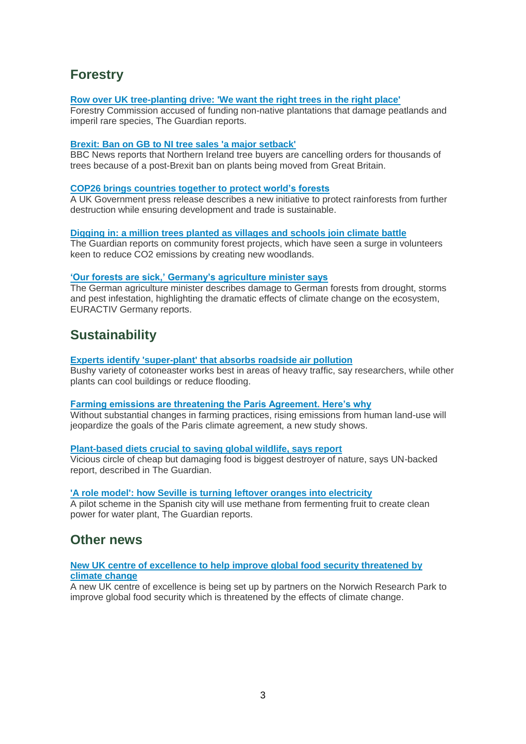# **Forestry**

#### **[Row over UK tree-planting drive: 'We want the right trees in the right place'](https://www.theguardian.com/environment/2021/feb/23/row-over-uk-tree-planting-drive-we-want-the-right-trees-in-the-right-place)**

Forestry Commission accused of funding non-native plantations that damage peatlands and imperil rare species, The Guardian reports.

#### **[Brexit: Ban on GB to NI tree sales 'a major setback'](https://www.bbc.co.uk/news/uk-northern-ireland-56110151)**

BBC News reports that Northern Ireland tree buyers are cancelling orders for thousands of trees because of a post-Brexit ban on plants being moved from Great Britain.

#### **[COP26 brings countries together to protect world's forests](https://www.gov.uk/government/news/cop26-brings-countries-together-to-protect-worlds-forests)**

A UK Government press release describes a new initiative to protect rainforests from further destruction while ensuring development and trade is sustainable.

#### **[Digging in: a million trees planted as villages and schools join climate battle](https://www.theguardian.com/environment/2021/feb/13/million-trees-planted-villages-schools-climate-battle-co2-community-forest-woodlands)**

The Guardian reports on community forest projects, which have seen a surge in volunteers keen to reduce CO2 emissions by creating new woodlands.

#### **['Our forests are sick,' Germany's agriculture minister says](https://www.euractiv.com/section/energy-environment/news/our-forests-are-sick-germanys-agriculture-ministry-says/)**

The German agriculture minister describes damage to German forests from drought, storms and pest infestation, highlighting the dramatic effects of climate change on the ecosystem, EURACTIV Germany reports.

## **Sustainability**

#### **[Experts identify 'super-plant' that absorbs roadside air pollution](https://www.theguardian.com/environment/2021/feb/18/experts-identify-super-plant-that-absorbs-roadside-air-pollution)**

Bushy variety of cotoneaster works best in areas of heavy traffic, say researchers, while other plants can cool buildings or reduce flooding.

#### **[Farming emissions are threatening the Paris Agreement. Here's why](https://www.weforum.org/agenda/2021/02/global-farming-emissions-threaten-paris-agreement-goals/)**

Without substantial changes in farming practices, rising emissions from human land-use will jeopardize the goals of the Paris climate agreement, a new study shows.

#### **[Plant-based diets crucial to saving global wildlife, says report](https://www.theguardian.com/environment/2021/feb/03/plant-based-diets-crucial-to-saving-global-wildlife-says-report)**

Vicious circle of cheap but damaging food is biggest destroyer of nature, says UN-backed report, described in The Guardian.

#### **['A role model': how Seville is turning leftover oranges into electricity](https://www.theguardian.com/environment/2021/feb/23/how-seville-is-turning-leftover-oranges-into-electricity)**

A pilot scheme in the Spanish city will use methane from fermenting fruit to create clean power for water plant, The Guardian reports.

## **Other news**

#### **[New UK centre of excellence to help improve global food security threatened by](https://www.jic.ac.uk/news/new-uk-centre-of-excellence-to-help-improve-global-food-security-threatened-by-climate-change/)  [climate change](https://www.jic.ac.uk/news/new-uk-centre-of-excellence-to-help-improve-global-food-security-threatened-by-climate-change/)**

A new UK centre of excellence is being set up by partners on the Norwich Research Park to improve global food security which is threatened by the effects of climate change.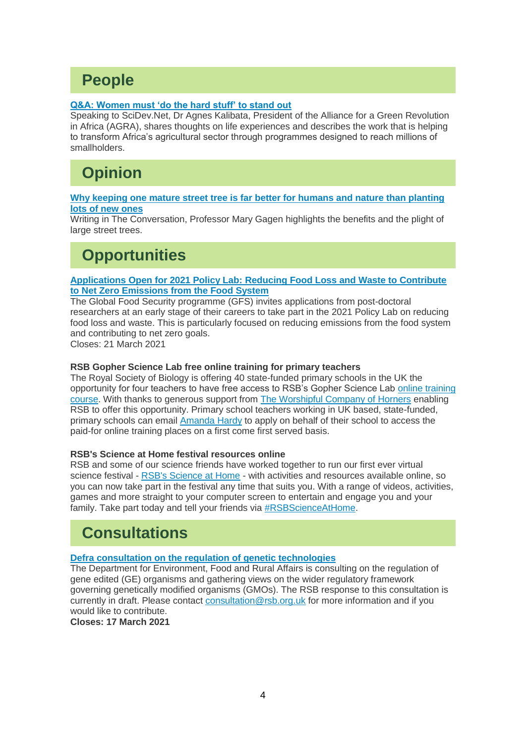# **People**

## **[Q&A: Women must 'do the hard stuff' to stand out](https://www.scidev.net/global/opinions/qa-women-must-do-the-hard-stuff-to-stand-out/)**

Speaking to SciDev.Net, Dr Agnes Kalibata, President of the Alliance for a Green Revolution in Africa (AGRA), shares thoughts on life experiences and describes the work that is helping to transform Africa's agricultural sector through programmes designed to reach millions of smallholders.

# **Opinion**

#### **[Why keeping one mature street tree is far better for humans and nature than planting](https://theconversation.com/why-keeping-one-mature-street-tree-is-far-better-for-humans-and-nature-than-planting-lots-of-new-ones-154114)  [lots of new ones](https://theconversation.com/why-keeping-one-mature-street-tree-is-far-better-for-humans-and-nature-than-planting-lots-of-new-ones-154114)**

Writing in The Conversation, Professor Mary Gagen highlights the benefits and the plight of large street trees.

# **Opportunities**

#### **[Applications Open for 2021 Policy Lab: Reducing Food Loss and Waste to Contribute](https://www.foodsecurity.ac.uk/activity/reducing-food-loss-and-waste-to-contribute-to-net-zero-emissions-from-the-food-system/)  [to Net Zero Emissions from the Food System](https://www.foodsecurity.ac.uk/activity/reducing-food-loss-and-waste-to-contribute-to-net-zero-emissions-from-the-food-system/)**

The Global Food Security programme (GFS) invites applications from post-doctoral researchers at an early stage of their careers to take part in the 2021 Policy Lab on reducing food loss and waste. This is particularly focused on reducing emissions from the food system and contributing to net zero goals.

Closes: 21 March 2021

### **RSB Gopher Science Lab free online training for primary teachers**

The Royal Society of Biology is offering 40 state-funded primary schools in the UK the opportunity for four teachers to have free access to RSB's Gopher Science Lab [online training](https://learn.rsb.org.uk/course.php?CourseID=2)  [course.](https://learn.rsb.org.uk/course.php?CourseID=2) With thanks to generous support from [The Worshipful Company of Horners](https://www.horners.org.uk/) enabling RSB to offer this opportunity. Primary school teachers working in UK based, state-funded, primary schools can email [Amanda Hardy](mailto:amanda.hardy@rsb.org.uk) to apply on behalf of their school to access the paid-for online training places on a first come first served basis.

## **RSB's Science at Home festival resources online**

RSB and some of our science friends have worked together to run our first ever virtual science festival - [RSB's Science at Home](https://www.rsb.org.uk/get-involved/biology-for-all/science-at-home) - with activities and resources available online, so you can now take part in the festival any time that suits you. With a range of videos, activities, games and more straight to your computer screen to entertain and engage you and your family. Take part today and tell your friends via [#RSBScienceAtHome.](https://twitter.com/search?q=%23RSBScienceAtHome&src=hashtag_click)

# **Consultations**

## **[Defra consultation on the regulation of genetic technologies](https://consult.defra.gov.uk/agri-food-chain-directorate/the-regulation-of-genetic-technologies/)**

The Department for Environment, Food and Rural Affairs is consulting on the regulation of gene edited (GE) organisms and gathering views on the wider regulatory framework governing genetically modified organisms (GMOs). The RSB response to this consultation is currently in draft. Please contact [consultation@rsb.org.uk](mailto:consultation@rsb.org.uk) for more information and if you would like to contribute.

**Closes: 17 March 2021**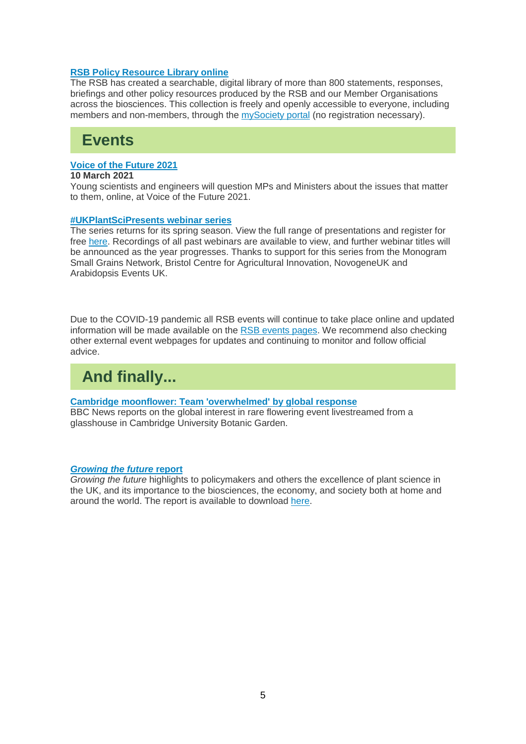#### **[RSB Policy Resource Library online](https://www.rsb.org.uk/policylibrary)**

The RSB has created a searchable, digital library of more than 800 statements, responses, briefings and other policy resources produced by the RSB and our Member Organisations across the biosciences. This collection is freely and openly accessible to everyone, including members and non-members, through the [mySociety portal](https://www.rsb.org.uk/policylibrary) (no registration necessary).

# **Events**

#### **[Voice of the Future 2021](https://www.rsb.org.uk/events?event=voiceofthefuture2021)**

#### **10 March 2021**

Young scientists and engineers will question MPs and Ministers about the issues that matter to them, online, at Voice of the Future 2021.

#### **[#UKPlantSciPresents webinar series](http://blog.garnetcommunity.org.uk/ukplantscipresents-webinars/)**

The series returns for its spring season. View the full range of presentations and register for free [here.](http://blog.garnetcommunity.org.uk/ukplantscipresents-webinars/) Recordings of all past webinars are available to view, and further webinar titles will be announced as the year progresses. Thanks to support for this series from the Monogram Small Grains Network, Bristol Centre for Agricultural Innovation, NovogeneUK and Arabidopsis Events UK.

Due to the COVID-19 pandemic all RSB events will continue to take place online and updated information will be made available on the [RSB events pages.](https://www.rsb.org.uk/events) We recommend also checking other external event webpages for updates and continuing to monitor and follow official advice.

# **And finally...**

#### **[Cambridge moonflower: Team 'overwhelmed' by global response](https://www.bbc.co.uk/news/uk-england-cambridgeshire-56145358)**

BBC News reports on the global interest in rare flowering event livestreamed from a glasshouse in Cambridge University Botanic Garden.

#### *[Growing the future](https://www.rsb.org.uk/policy/groups-and-committees/ukpsf/about-ukpsf/growing-the-future-report)* **report**

*Growing the future* highlights to policymakers and others the excellence of plant science in the UK, and its importance to the biosciences, the economy, and society both at home and around the world. The report is available to download [here.](https://www.rsb.org.uk/policy/groups-and-committees/ukpsf/about-ukpsf/growing-the-future-report)